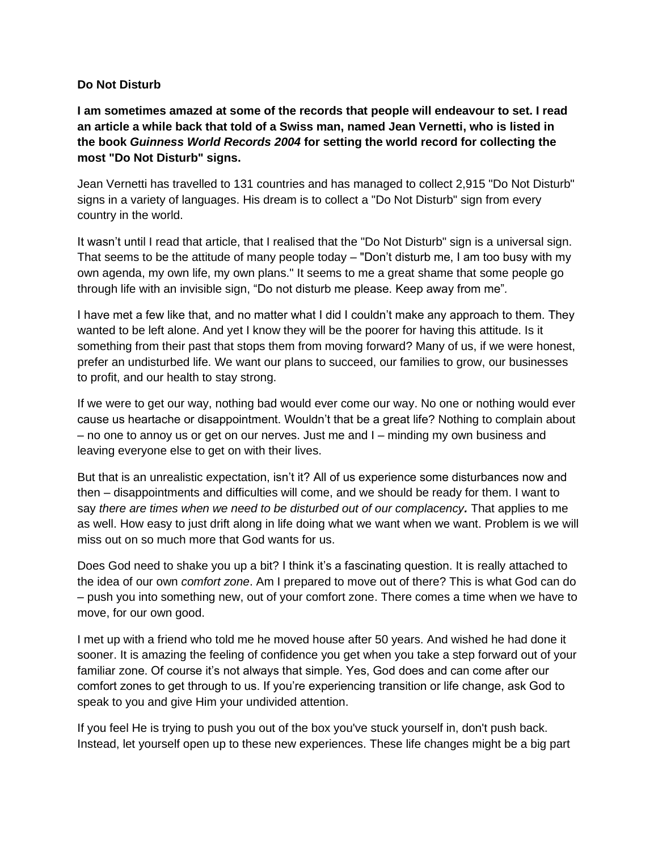## **Do Not Disturb**

**I am sometimes amazed at some of the records that people will endeavour to set. I read an article a while back that told of a Swiss man, named Jean Vernetti, who is listed in the book** *Guinness World Records 2004* **for setting the world record for collecting the most "Do Not Disturb" signs.**

Jean Vernetti has travelled to 131 countries and has managed to collect 2,915 "Do Not Disturb" signs in a variety of languages. His dream is to collect a "Do Not Disturb" sign from every country in the world.

It wasn't until I read that article, that I realised that the "Do Not Disturb" sign is a universal sign. That seems to be the attitude of many people today – "Don't disturb me, I am too busy with my own agenda, my own life, my own plans." It seems to me a great shame that some people go through life with an invisible sign, "Do not disturb me please. Keep away from me"*.*

I have met a few like that, and no matter what I did I couldn't make any approach to them. They wanted to be left alone. And yet I know they will be the poorer for having this attitude. Is it something from their past that stops them from moving forward? Many of us, if we were honest, prefer an undisturbed life. We want our plans to succeed, our families to grow, our businesses to profit, and our health to stay strong.

If we were to get our way, nothing bad would ever come our way. No one or nothing would ever cause us heartache or disappointment. Wouldn't that be a great life? Nothing to complain about – no one to annoy us or get on our nerves. Just me and I – minding my own business and leaving everyone else to get on with their lives.

But that is an unrealistic expectation, isn't it? All of us experience some disturbances now and then – disappointments and difficulties will come, and we should be ready for them. I want to say *there are times when we need to be disturbed out of our complacency.* That applies to me as well. How easy to just drift along in life doing what we want when we want. Problem is we will miss out on so much more that God wants for us.

Does God need to shake you up a bit? I think it's a fascinating question. It is really attached to the idea of our own *comfort zone*. Am I prepared to move out of there? This is what God can do – push you into something new, out of your comfort zone. There comes a time when we have to move, for our own good.

I met up with a friend who told me he moved house after 50 years. And wished he had done it sooner. It is amazing the feeling of confidence you get when you take a step forward out of your familiar zone. Of course it's not always that simple. Yes, God does and can come after our comfort zones to get through to us. If you're experiencing transition or life change, ask God to speak to you and give Him your undivided attention.

If you feel He is trying to push you out of the box you've stuck yourself in, don't push back. Instead, let yourself open up to these new experiences. These life changes might be a big part